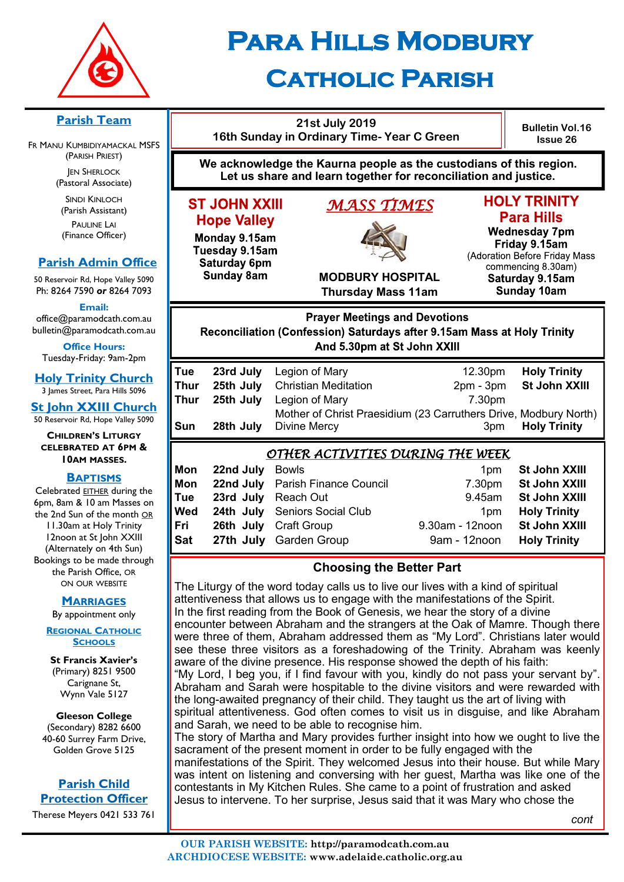

# **Para Hills Modbury Catholic Parish**

#### **Parish Team**

FR MANU KUMBIDIYAMACKAL MSFS (PARISH PRIEST) **JEN SHERLOCK** 

(Pastoral Associate)

SINDI KINLOCH (Parish Assistant) PAULINE LAI (Finance Officer)

#### **Parish Admin Office**

50 Reservoir Rd, Hope Valley 5090 Ph: 8264 7590 *or* 8264 7093

**Email:** 

office@paramodcath.com.au bulletin@paramodcath.com.au

**Office Hours:**  Tuesday-Friday: 9am-2pm

**Holy Trinity Church** 3 James Street, Para Hills 5096

**St John XXIII Church** 50 Reservoir Rd, Hope Valley 5090

**CHILDREN'S LITURGY CELEBRATED AT 6PM & 10AM MASSES.**

#### **BAPTISMS**

Celebrated EITHER during the 6pm, 8am & 10 am Masses on the 2nd Sun of the month OR 11.30am at Holy Trinity 12noon at St John XXIII (Alternately on 4th Sun) Bookings to be made through the Parish Office, OR ON OUR WEBSITE

#### **MARRIAGES**

By appointment only

**REGIONAL CATHOLIC SCHOOLS**

**St Francis Xavier's**  (Primary) 8251 9500 Carignane St, Wynn Vale 5127

**Gleeson College**  (Secondary) 8282 6600 40-60 Surrey Farm Drive, Golden Grove 5125

#### **Parish Child Protection Officer**

Therese Meyers 0421 533 761

| 21st July 2019<br>16th Sunday in Ordinary Time- Year C Green                                                                          |                                                  |                                                                                                                                                     |                                         | <b>Bulletin Vol.16</b><br><b>Issue 26</b>                                                                                                                                         |  |  |  |
|---------------------------------------------------------------------------------------------------------------------------------------|--------------------------------------------------|-----------------------------------------------------------------------------------------------------------------------------------------------------|-----------------------------------------|-----------------------------------------------------------------------------------------------------------------------------------------------------------------------------------|--|--|--|
| We acknowledge the Kaurna people as the custodians of this region.<br>Let us share and learn together for reconciliation and justice. |                                                  |                                                                                                                                                     |                                         |                                                                                                                                                                                   |  |  |  |
| <b>ST JOHN XXIII</b><br><b>Hope Valley</b><br>Monday 9.15am<br>Tuesday 9.15am<br>Saturday 6pm<br><b>Sunday 8am</b>                    |                                                  | MASS TIMES<br><b>MODBURY HOSPITAL</b><br><b>Thursday Mass 11am</b>                                                                                  |                                         | <b>HOLY TRINITY</b><br><b>Para Hills</b><br><b>Wednesday 7pm</b><br>Friday 9.15am<br>(Adoration Before Friday Mass<br>commencing 8.30am)<br>Saturday 9.15am<br><b>Sunday 10am</b> |  |  |  |
|                                                                                                                                       |                                                  |                                                                                                                                                     |                                         |                                                                                                                                                                                   |  |  |  |
|                                                                                                                                       |                                                  | <b>Prayer Meetings and Devotions</b><br>Reconciliation (Confession) Saturdays after 9.15am Mass at Holy Trinity<br>And 5.30pm at St John XXIII      |                                         |                                                                                                                                                                                   |  |  |  |
| Tue<br><b>Thur</b><br><b>Thur</b><br>Sun                                                                                              | 23rd July<br>25th July<br>25th July<br>28th July | Legion of Mary<br><b>Christian Meditation</b><br>Legion of Mary<br>Mother of Christ Praesidium (23 Carruthers Drive, Modbury North)<br>Divine Mercy | 12.30pm<br>$2pm - 3pm$<br>7.30pm<br>3pm | <b>Holy Trinity</b><br>St John XXIII<br><b>Holy Trinity</b>                                                                                                                       |  |  |  |
| Mon<br>Mon<br>Tue                                                                                                                     | 22nd July<br>22nd July<br>23rd July              | <u>OTHER ACTIVITIES DURING THE WEEK</u><br><b>Bowls</b><br><b>Parish Finance Council</b><br><b>Reach Out</b>                                        | 1pm<br>7.30pm<br>9.45am                 | St John XXIII<br>St John XXIII<br><b>St John XXIII</b>                                                                                                                            |  |  |  |

### **Choosing the Better Part**

**Fri 26th July** Craft Group 9.30am - 12noon **St John XXIII Sat 27th July** Garden Group 9am - 12noon **Holy Trinity** 

The Liturgy of the word today calls us to live our lives with a kind of spiritual attentiveness that allows us to engage with the manifestations of the Spirit. In the first reading from the Book of Genesis, we hear the story of a divine encounter between Abraham and the strangers at the Oak of Mamre. Though there were three of them, Abraham addressed them as "My Lord". Christians later would see these three visitors as a foreshadowing of the Trinity. Abraham was keenly aware of the divine presence. His response showed the depth of his faith: "My Lord, I beg you, if I find favour with you, kindly do not pass your servant by". Abraham and Sarah were hospitable to the divine visitors and were rewarded with the long-awaited pregnancy of their child. They taught us the art of living with spiritual attentiveness. God often comes to visit us in disguise, and like Abraham and Sarah, we need to be able to recognise him. The story of Martha and Mary provides further insight into how we ought to live the

sacrament of the present moment in order to be fully engaged with the manifestations of the Spirit. They welcomed Jesus into their house. But while Mary was intent on listening and conversing with her guest, Martha was like one of the contestants in My Kitchen Rules. She came to a point of frustration and asked Jesus to intervene. To her surprise, Jesus said that it was Mary who chose the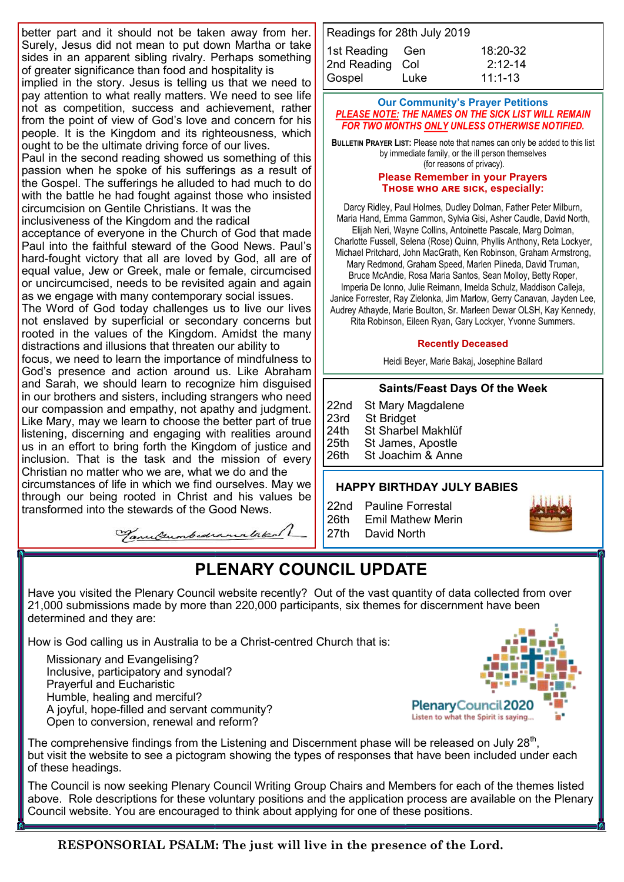better part and it should not be taken away from her. Surely, Jesus did not mean to put down Martha or take sides in an apparent sibling rivalry. Perhaps something of greater significance than food and hospitality is

implied in the story. Jesus is telling us that we need to pay attention to what really matters. We need to see life not as competition, success and achievement, rather from the point of view of God's love and concern for his people. It is the Kingdom and its righteousness, which ought to be the ultimate driving force of our lives.

Paul in the second reading showed us something of this passion when he spoke of his sufferings as a result of the Gospel. The sufferings he alluded to had much to do with the battle he had fought against those who insisted circumcision on Gentile Christians. It was the

inclusiveness of the Kingdom and the radical acceptance of everyone in the Church of God that made

Paul into the faithful steward of the Good News. Paul's hard-fought victory that all are loved by God, all are of equal value, Jew or Greek, male or female, circumcised or uncircumcised, needs to be revisited again and again as we engage with many contemporary social issues.

The Word of God today challenges us to live our lives not enslaved by superficial or secondary concerns but rooted in the values of the Kingdom. Amidst the many distractions and illusions that threaten our ability to

focus, we need to learn the importance of mindfulness to God's presence and action around us. Like Abraham and Sarah, we should learn to recognize him disguised in our brothers and sisters, including strangers who need our compassion and empathy, not apathy and judgment. Like Mary, may we learn to choose the better part of true listening, discerning and engaging with realities around us in an effort to bring forth the Kingdom of justice and inclusion. That is the task and the mission of every Christian no matter who we are, what we do and the circumstances of life in which we find ourselves. May we through our being rooted in Christ and his values be

transformed into the stewards of the Good News.

Tanulumbedramalaked

| Readings for 28th July 2019 |      |              |  |  |  |  |  |
|-----------------------------|------|--------------|--|--|--|--|--|
| 1st Reading Gen             |      | $18:20 - 32$ |  |  |  |  |  |
| 2nd Reading Col             |      | $2:12-14$    |  |  |  |  |  |
| Gospel                      | Luke | $11:1 - 13$  |  |  |  |  |  |

#### **Our Community's Prayer Petitions**  *PLEASE NOTE: THE NAMES ON THE SICK LIST WILL REMAIN FOR TWO MONTHS ONLY UNLESS OTHERWISE NOTIFIED.*

**BULLETIN PRAYER LIST:** Please note that names can only be added to this list by immediate family, or the ill person themselves (for reasons of privacy).

#### **Please Remember in your Prayers Those who are sick, especially:**

Darcy Ridley, Paul Holmes, Dudley Dolman, Father Peter Milburn, Maria Hand, Emma Gammon, Sylvia Gisi, Asher Caudle, David North, Elijah Neri, Wayne Collins, Antoinette Pascale, Marg Dolman, Charlotte Fussell, Selena (Rose) Quinn, Phyllis Anthony, Reta Lockyer, Michael Pritchard, John MacGrath, Ken Robinson, Graham Armstrong, Mary Redmond, Graham Speed, Marlen Piineda, David Truman, Bruce McAndie, Rosa Maria Santos, Sean Molloy, Betty Roper, Imperia De Ionno, Julie Reimann, Imelda Schulz, Maddison Calleja, Janice Forrester, Ray Zielonka, Jim Marlow, Gerry Canavan, Jayden Lee, Audrey Athayde, Marie Boulton, Sr. Marleen Dewar OLSH, Kay Kennedy, Rita Robinson, Eileen Ryan, Gary Lockyer, Yvonne Summers.

#### **Recently Deceased**

Heidi Beyer, Marie Bakaj, Josephine Ballard

#### **Saints/Feast Days Of the Week**

22nd St Mary Magdalene 23rd St Bridget<br>24th St Sharbel 24th St Sharbel Makhlüf<br>25th St James, Apostle St James, Apostle 26th St Joachim & Anne

#### **HAPPY BIRTHDAY JULY BABIES**

22nd Pauline Forrestal 26th Emil Mathew Merin 27th David North



## **PLENARY COUNCIL UPDATE**

Have you visited the Plenary Council website recently? Out of the vast quantity of data collected from over 21,000 submissions made by more than 220,000 participants, six themes for discernment have been determined and they are:

How is God calling us in Australia to be a Christ-centred Church that is:

Missionary and Evangelising? Inclusive, participatory and synodal? Prayerful and Eucharistic Humble, healing and merciful? A joyful, hope-filled and servant community? Open to conversion, renewal and reform?



The comprehensive findings from the Listening and Discernment phase will be released on July 28<sup>th</sup>, but visit the website to see a pictogram showing the types of responses that have been included under each of these headings.

The Council is now seeking Plenary Council Writing Group Chairs and Members for each of the themes listed above. Role descriptions for these voluntary positions and the application process are available on the Plenary Council website. You are encouraged to think about applying for one of these positions.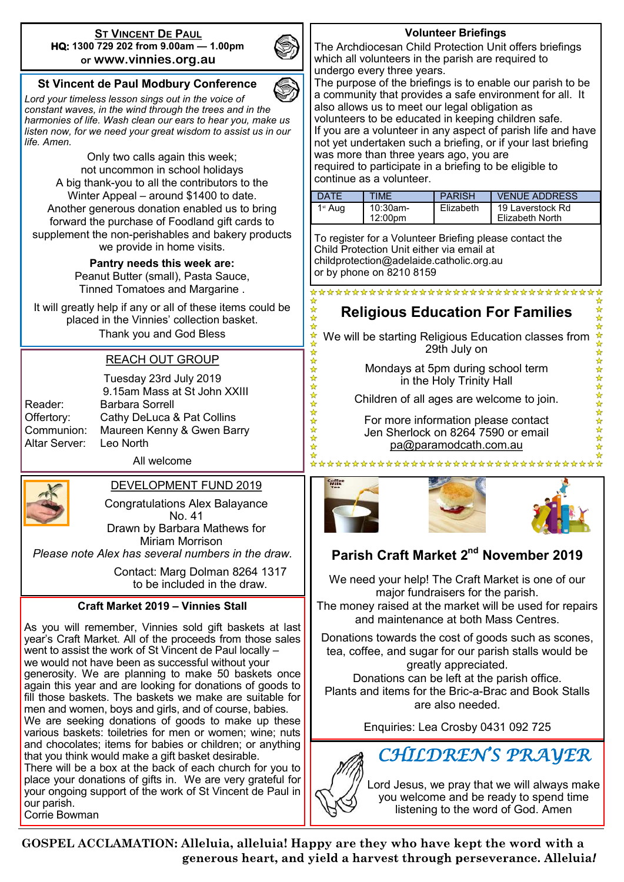#### **ST VINCENT DE PAUL HQ: 1300 729 202 from 9.00am — 1.00pm or www.vinnies.org.au**



24 24 2

冷冷

☆☆☆☆☆☆☆☆☆☆☆☆☆

츔

#### **St Vincent de Paul Modbury Conference**

*Lord your timeless lesson sings out in the voice of constant waves, in the wind through the trees and in the harmonies of life. Wash clean our ears to hear you, make us listen now, for we need your great wisdom to assist us in our life. Amen.*

Only two calls again this week; not uncommon in school holidays A big thank-you to all the contributors to the Winter Appeal – around \$1400 to date. Another generous donation enabled us to bring forward the purchase of Foodland gift cards to supplement the non-perishables and bakery products we provide in home visits.

> **Pantry needs this week are:**  Peanut Butter (small), Pasta Sauce, Tinned Tomatoes and Margarine .

It will greatly help if any or all of these items could be placed in the Vinnies' collection basket. Thank you and God Bless

#### REACH OUT GROUP

| Reader:       |
|---------------|
| Offertory:    |
| Communion:    |
| Altar Server: |
|               |

Tuesday 23rd July 2019 9.15am Mass at St John XXIII Barbara Sorrell Cathy DeLuca & Pat Collins Maureen Kenny & Gwen Barry Leo North

All welcome

#### DEVELOPMENT FUND 2019

Congratulations Alex Balayance No. 41 Drawn by Barbara Mathews for

Miriam Morrison

*Please note Alex has several numbers in the draw.*

Contact: Marg Dolman 8264 1317 to be included in the draw.

#### **Craft Market 2019 – Vinnies Stall**

As you will remember, Vinnies sold gift baskets at last year's Craft Market. All of the proceeds from those sales went to assist the work of St Vincent de Paul locally – we would not have been as successful without your generosity. We are planning to make 50 baskets once again this year and are looking for donations of goods to fill those baskets. The baskets we make are suitable for men and women, boys and girls, and of course, babies. We are seeking donations of goods to make up these various baskets: toiletries for men or women; wine; nuts and chocolates; items for babies or children; or anything that you think would make a gift basket desirable. There will be a box at the back of each church for you to

place your donations of gifts in. We are very grateful for your ongoing support of the work of St Vincent de Paul in our parish. Corrie Bowman

#### **Volunteer Briefings**

The Archdiocesan Child Protection Unit offers briefings which all volunteers in the parish are required to undergo every three years.

The purpose of the briefings is to enable our parish to be a community that provides a safe environment for all. It also allows us to meet our legal obligation as volunteers to be educated in keeping children safe. If you are a volunteer in any aspect of parish life and have not yet undertaken such a briefing, or if your last briefing was more than three years ago, you are required to participate in a briefing to be eligible to continue as a volunteer.

| DATF    | <b>TIME</b>         | <b>PARISH</b> | <b>VENUE ADDRESS</b>                |
|---------|---------------------|---------------|-------------------------------------|
| 1st Aug | 10:30am-<br>12:00pm | Flizabeth     | 19 Laverstock Rd<br>Elizabeth North |

To register for a Volunteer Briefing please contact the Child Protection Unit either via email at childprotection@adelaide.catholic.org.au or by phone on 8210 8159

## \*\*\*\*\*\*\*\*\*\*\*\*\*\*\*\*\*\*\*\*\*\*\*\*\*\*\*\*\*\*\*\*\*\*

## **Religious Education For Families**

We will be starting Religious Education classes from 29th July on

> Mondays at 5pm during school term in the Holy Trinity Hall

Children of all ages are welcome to join.

For more information please contact Jen Sherlock on 8264 7590 or email [pa@paramodcath.com.au](mailto:pa@paramodcath.com.au)





☆☆☆☆☆☆☆☆☆☆☆☆

## **Parish Craft Market 2nd November 2019**

We need your help! The Craft Market is one of our major fundraisers for the parish. The money raised at the market will be used for repairs and maintenance at both Mass Centres.

Donations towards the cost of goods such as scones, tea, coffee, and sugar for our parish stalls would be greatly appreciated.

Donations can be left at the parish office. Plants and items for the Bric-a-Brac and Book Stalls are also needed.

Enquiries: Lea Crosby 0431 092 725



Lord Jesus, we pray that we will always make you welcome and be ready to spend time listening to the word of God. Amen

**GOSPEL ACCLAMATION: Alleluia, alleluia! Happy are they who have kept the word with a**  generous heart, and yield a harvest through perseverance. Alleluia!